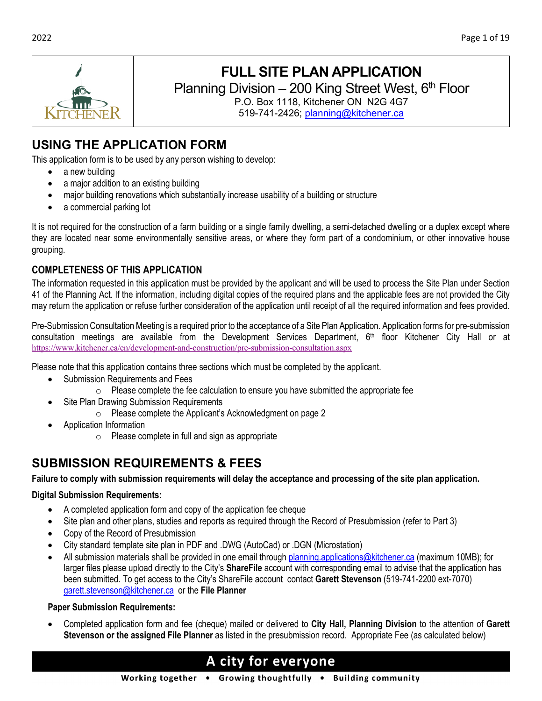

# **FULL SITE PLAN APPLICATION**

Planning Division  $-200$  King Street West,  $6<sup>th</sup>$  Floor

P.O. Box 1118, Kitchener ON N2G 4G7 519-741-2426; [planning@kitchener.ca](mailto:planning@kitchener.ca)

# **USING THE APPLICATION FORM**

This application form is to be used by any person wishing to develop:

- a new building
- a major addition to an existing building
- major building renovations which substantially increase usability of a building or structure
- a commercial parking lot

It is not required for the construction of a farm building or a single family dwelling, a semi-detached dwelling or a duplex except where they are located near some environmentally sensitive areas, or where they form part of a condominium, or other innovative house grouping.

## **COMPLETENESS OF THIS APPLICATION**

The information requested in this application must be provided by the applicant and will be used to process the Site Plan under Section 41 of the Planning Act. If the information, including digital copies of the required plans and the applicable fees are not provided the City may return the application or refuse further consideration of the application until receipt of all the required information and fees provided.

Pre-Submission Consultation Meeting is a required prior to the acceptance of a Site Plan Application. Application forms for pre-submission consultation meetings are available from the Development Services Department,  $6<sup>th</sup>$  floor Kitchener City Hall or at <https://www.kitchener.ca/en/development-and-construction/pre-submission-consultation.aspx>

Please note that this application contains three sections which must be completed by the applicant.

- Submission Requirements and Fees
	- $\circ$  Please complete the fee calculation to ensure you have submitted the appropriate fee
- Site Plan Drawing Submission Requirements
	- o Please complete the Applicant's Acknowledgment on page 2
- Application Information
	- o Please complete in full and sign as appropriate

# **SUBMISSION REQUIREMENTS & FEES**

**Failure to comply with submission requirements will delay the acceptance and processing of the site plan application.**

#### **Digital Submission Requirements:**

- A completed application form and copy of the application fee cheque
- Site plan and other plans, studies and reports as required through the Record of Presubmission (refer to Part 3)
- Copy of the Record of Presubmission
- City standard template site plan in PDF and .DWG (AutoCad) or .DGN (Microstation)
- All submission materials shall be provided in one email through [planning.applications@kitchener.ca](mailto:planning.applications@kitchener.ca) (maximum 10MB); for larger files please upload directly to the City's **ShareFile** account with corresponding email to advise that the application has been submitted. To get access to the City's ShareFile account contact **Garett Stevenson** (519-741-2200 ext-7070) [garett.stevenson@kitchener.ca](mailto:garett.stevenson@kitchener.ca) or the **File Planner**

#### **Paper Submission Requirements:**

• Completed application form and fee (cheque) mailed or delivered to **City Hall, Planning Division** to the attention of **Garett Stevenson or the assigned File Planner** as listed in the presubmission record. Appropriate Fee (as calculated below)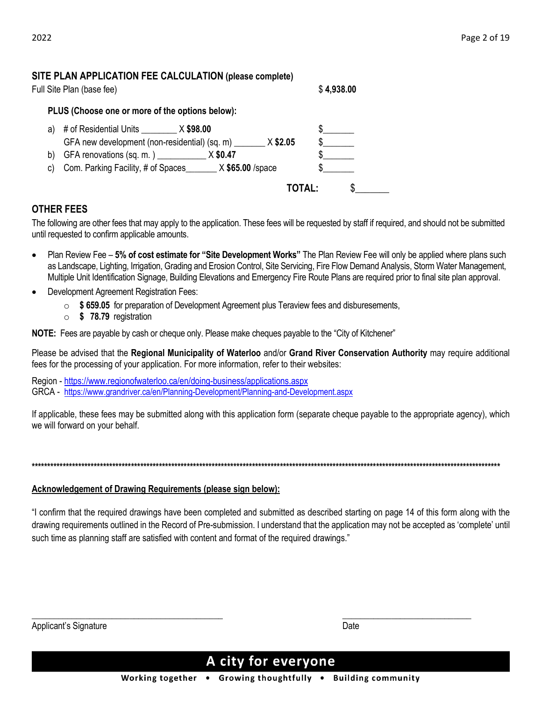### **SITE PLAN APPLICATION FEE CALCULATION (please complete)**

| Full Site Plan (base fee) | \$4,938.00 |
|---------------------------|------------|
|                           |            |

**PLUS (Choose one or more of the options below):**

| a) | # of Residential Units $\angle x$ \$98.00                   |               |  |
|----|-------------------------------------------------------------|---------------|--|
|    | GFA new development (non-residential) (sq. m)               | $X$ \$2.05    |  |
|    | b) GFA renovations $(sq. m. )$ X \$0.47                     |               |  |
|    | c) Com. Parking Facility, # of Spaces<br>$X$ \$65.00 /space |               |  |
|    |                                                             | <b>TOTAL:</b> |  |

## **OTHER FEES**

The following are other fees that may apply to the application. These fees will be requested by staff if required, and should not be submitted until requested to confirm applicable amounts.

- Plan Review Fee *–* **5% of cost estimate for "Site Development Works"** The Plan Review Fee will only be applied where plans such as Landscape, Lighting, Irrigation, Grading and Erosion Control, Site Servicing, Fire Flow Demand Analysis, Storm Water Management, Multiple Unit Identification Signage, Building Elevations and Emergency Fire Route Plans are required prior to final site plan approval.
- Development Agreement Registration Fees:
	- o **\$ 659.05** for preparation of Development Agreement plus Teraview fees and disburesements,
	- o **\$ 78.79** registration

**NOTE:** Fees are payable by cash or cheque only. Please make cheques payable to the "City of Kitchener"

Please be advised that the **Regional Municipality of Waterloo** and/or **Grand River Conservation Authority** may require additional fees for the processing of your application. For more information, refer to their websites:

Region - <https://www.regionofwaterloo.ca/en/doing-business/applications.aspx> [GRCA -](https://www.grandriver.ca/en/Planning-Development/Planning-and-Development.aspx) <https://www.grandriver.ca/en/Planning-Development/Planning-and-Development.aspx>

If applicable, these fees may be submitted along with this application form (separate cheque payable to the appropriate agency), which we will forward on your behalf.

**\*\*\*\*\*\*\*\*\*\*\*\*\*\*\*\*\*\*\*\*\*\*\*\*\*\*\*\*\*\*\*\*\*\*\*\*\*\*\*\*\*\*\*\*\*\*\*\*\*\*\*\*\*\*\*\*\*\*\*\*\*\*\*\*\*\*\*\*\*\*\*\*\*\*\*\*\*\*\*\*\*\*\*\*\*\*\*\*\*\*\*\*\*\*\*\*\*\*\*\*\*\*\*\*\*\*\*\*\*\*\*\*\*\*\*\*\*\*\*\*\*\*\*\*\*\*\*\*\*\*\*\*\*\*\*\*\*\*\*\*\*\*\*\*\*\*\*\*\*\*\***

#### **Acknowledgement of Drawing Requirements (please sign below):**

"I confirm that the required drawings have been completed and submitted as described starting on page 14 of this form along with the drawing requirements outlined in the Record of Pre-submission. I understand that the application may not be accepted as 'complete' until such time as planning staff are satisfied with content and format of the required drawings."

| Applicant's Signature | Date |
|-----------------------|------|

# A city for everyone

Working together • Growing thoughtfully • Building community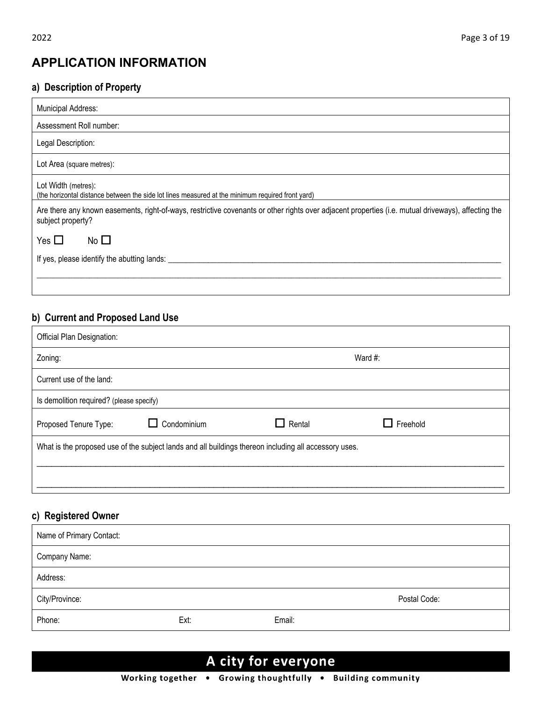# **APPLICATION INFORMATION**

# **a) Description of Property**

| <b>Municipal Address:</b>                                                                                                                                                |
|--------------------------------------------------------------------------------------------------------------------------------------------------------------------------|
| Assessment Roll number:                                                                                                                                                  |
| Legal Description:                                                                                                                                                       |
| Lot Area (square metres):                                                                                                                                                |
| Lot Width (metres):<br>(the horizontal distance between the side lot lines measured at the minimum required front yard)                                                  |
| Are there any known easements, right-of-ways, restrictive covenants or other rights over adjacent properties (i.e. mutual driveways), affecting the<br>subject property? |
| Yes $\Box$<br>No $\square$                                                                                                                                               |
| If yes, please identify the abutting lands:                                                                                                                              |
|                                                                                                                                                                          |
|                                                                                                                                                                          |

# **b) Current and Proposed Land Use**

| Official Plan Designation:                                                                            |             |               |                 |  |  |
|-------------------------------------------------------------------------------------------------------|-------------|---------------|-----------------|--|--|
| Zoning:                                                                                               |             |               | Ward #:         |  |  |
| Current use of the land:                                                                              |             |               |                 |  |  |
| Is demolition required? (please specify)                                                              |             |               |                 |  |  |
| Proposed Tenure Type:                                                                                 | Condominium | $\Box$ Rental | $\Box$ Freehold |  |  |
| What is the proposed use of the subject lands and all buildings thereon including all accessory uses. |             |               |                 |  |  |
|                                                                                                       |             |               |                 |  |  |

## **c) Registered Owner**

| Name of Primary Contact: |      |        |              |
|--------------------------|------|--------|--------------|
| Company Name:            |      |        |              |
| Address:                 |      |        |              |
| City/Province:           |      |        | Postal Code: |
| Phone:                   | Ext: | Email: |              |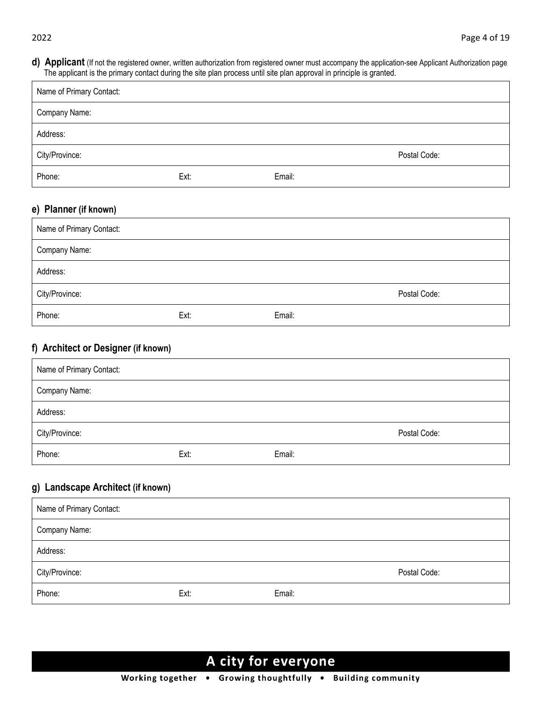**d) Applicant** (If not the registered owner, written authorization from registered owner must accompany the application-see Applicant Authorization page The applicant is the primary contact during the site plan process until site plan approval in principle is granted.

| Name of Primary Contact: |      |        |              |
|--------------------------|------|--------|--------------|
| Company Name:            |      |        |              |
| Address:                 |      |        |              |
| City/Province:           |      |        | Postal Code: |
| Phone:                   | Ext: | Email: |              |

# **e) Planner (if known)**

| Name of Primary Contact: |      |        |              |
|--------------------------|------|--------|--------------|
| Company Name:            |      |        |              |
| Address:                 |      |        |              |
| City/Province:           |      |        | Postal Code: |
| Phone:                   | Ext: | Email: |              |

## **f) Architect or Designer (if known)**

| Name of Primary Contact: |      |        |              |
|--------------------------|------|--------|--------------|
| Company Name:            |      |        |              |
| Address:                 |      |        |              |
| City/Province:           |      |        | Postal Code: |
| Phone:                   | Ext: | Email: |              |

## **g) Landscape Architect (if known)**

| Name of Primary Contact: |      |        |              |
|--------------------------|------|--------|--------------|
| Company Name:            |      |        |              |
| Address:                 |      |        |              |
| City/Province:           |      |        | Postal Code: |
| Phone:                   | Ext: | Email: |              |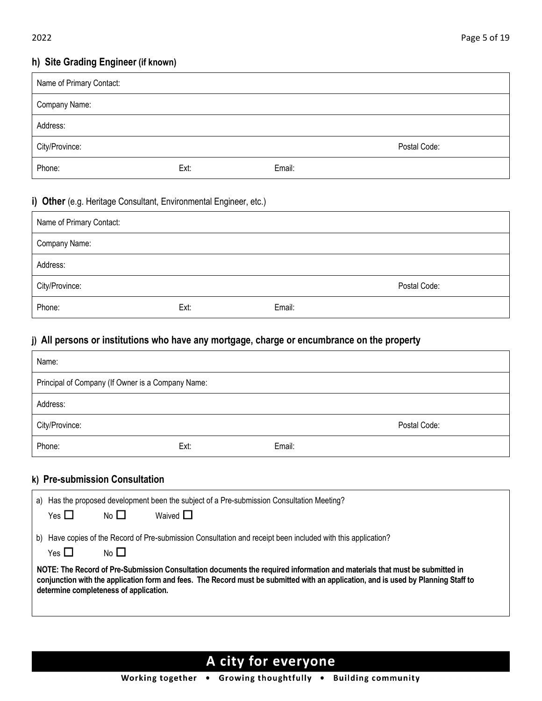## **h) Site Grading Engineer (if known)**

| Name of Primary Contact: |      |        |              |
|--------------------------|------|--------|--------------|
| Company Name:            |      |        |              |
| Address:                 |      |        |              |
| City/Province:           |      |        | Postal Code: |
| Phone:                   | Ext: | Email: |              |

#### **i) Other** (e.g. Heritage Consultant, Environmental Engineer, etc.)

| Name of Primary Contact: |      |        |              |
|--------------------------|------|--------|--------------|
| Company Name:            |      |        |              |
| Address:                 |      |        |              |
| City/Province:           |      |        | Postal Code: |
| Phone:                   | Ext: | Email: |              |

## **j) All persons or institutions who have any mortgage, charge or encumbrance on the property**

| Name:                                             |                  |                                                                                                              |              |  |
|---------------------------------------------------|------------------|--------------------------------------------------------------------------------------------------------------|--------------|--|
| Principal of Company (If Owner is a Company Name: |                  |                                                                                                              |              |  |
| Address:                                          |                  |                                                                                                              |              |  |
| City/Province:                                    |                  |                                                                                                              | Postal Code: |  |
| Phone:                                            | Ext:             | Email:                                                                                                       |              |  |
| k) Pre-submission Consultation                    |                  |                                                                                                              |              |  |
| Yes $\Box$<br>No $\square$                        | Waived $\square$ | a) Has the proposed development been the subject of a Pre-submission Consultation Meeting?                   |              |  |
| Yes $\Box$<br>No $\Box$                           |                  | b) Have copies of the Record of Pre-submission Consultation and receipt been included with this application? |              |  |

**NOTE: The Record of Pre-Submission Consultation documents the required information and materials that must be submitted in conjunction with the application form and fees. The Record must be submitted with an application, and is used by Planning Staff to determine completeness of application.**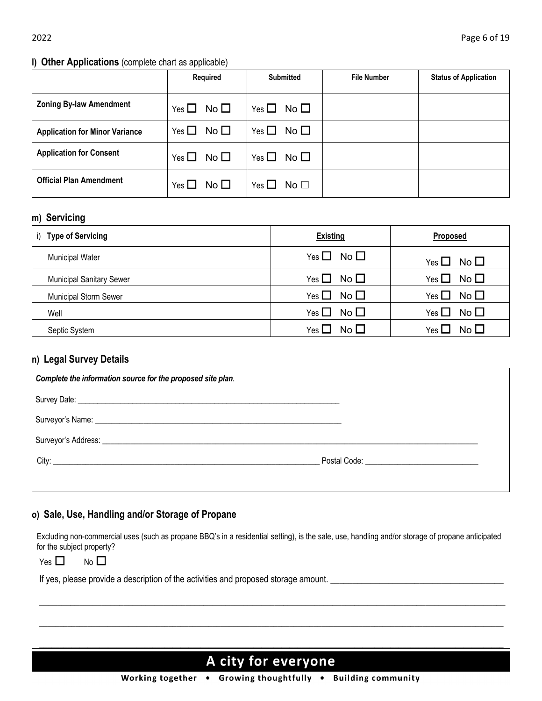## **l) Other Applications** (complete chart as applicable)

|                                       | Required                      | <b>Submitted</b>     | <b>File Number</b> | <b>Status of Application</b> |
|---------------------------------------|-------------------------------|----------------------|--------------------|------------------------------|
| <b>Zoning By-law Amendment</b>        | Yes $\Box$ No $\Box$          | Yes $\Box$ No $\Box$ |                    |                              |
| <b>Application for Minor Variance</b> | No $\square$<br>Yes $\square$ | Yes $\Box$ No $\Box$ |                    |                              |
| <b>Application for Consent</b>        | Yes $\Box$ No $\Box$          | Yes $\Box$ No $\Box$ |                    |                              |
| <b>Official Plan Amendment</b>        | Yes $\Box$ No $\Box$          | Yes $\Box$ No $\Box$ |                    |                              |

# **m) Servicing**

| <b>Type of Servicing</b><br>$\mathbf{I}$ | <b>Existing</b>               | <b>Proposed</b>               |
|------------------------------------------|-------------------------------|-------------------------------|
| <b>Municipal Water</b>                   | No $\square$<br>Yes $\Box$    | No $\square$<br>Yes $\square$ |
| <b>Municipal Sanitary Sewer</b>          | No $\square$<br>Yes $\square$ | No $\square$<br>Yes $\Box$    |
| <b>Municipal Storm Sewer</b>             | No $\square$<br>Yes $\Box$    | No $\square$<br>Yes $\Box$    |
| Well                                     | No $\square$<br>Yes $\square$ | No $\Box$<br>Yes $\Box$       |
| Septic System                            | No $\square$<br>Yes L         | No $\square$<br>Yes           |

# **n) Legal Survey Details**

| Complete the information source for the proposed site plan. |  |
|-------------------------------------------------------------|--|
|                                                             |  |
|                                                             |  |
|                                                             |  |
|                                                             |  |
|                                                             |  |

# **o) Sale, Use, Handling and/or Storage of Propane**

| Excluding non-commercial uses (such as propane BBQ's in a residential setting), is the sale, use, handling and/or storage of propane anticipated<br>for the subject property? |
|-------------------------------------------------------------------------------------------------------------------------------------------------------------------------------|
| No $\square$<br>Yes $\Box$                                                                                                                                                    |
| If yes, please provide a description of the activities and proposed storage amount.                                                                                           |
|                                                                                                                                                                               |
|                                                                                                                                                                               |
|                                                                                                                                                                               |
|                                                                                                                                                                               |
| <b>A</b> city for evervone                                                                                                                                                    |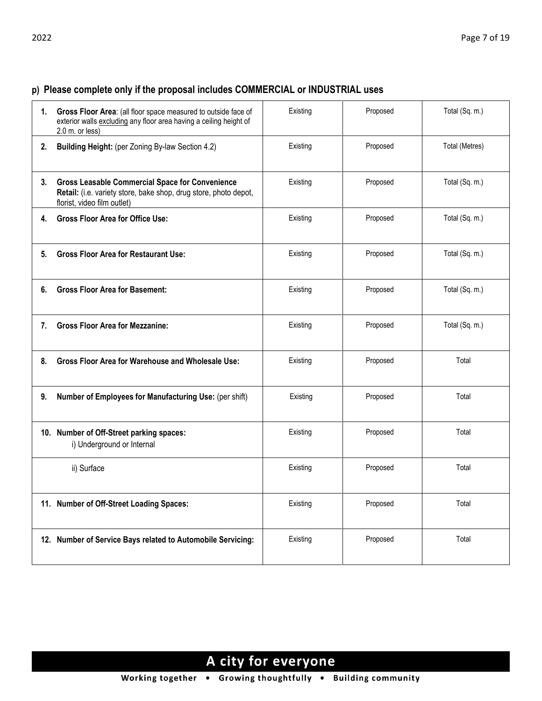# **p) Please complete only if the proposal includes COMMERCIAL or INDUSTRIAL uses**

| 1. | Gross Floor Area: (all floor space measured to outside face of<br>exterior walls excluding any floor area having a ceiling height of<br>2.0 m. or less)   | Existing | Proposed | Total (Sq. m.) |
|----|-----------------------------------------------------------------------------------------------------------------------------------------------------------|----------|----------|----------------|
| 2. | Building Height: (per Zoning By-law Section 4.2)                                                                                                          | Existing | Proposed | Total (Metres) |
| 3. | <b>Gross Leasable Commercial Space for Convenience</b><br>Retail: (i.e. variety store, bake shop, drug store, photo depot,<br>florist, video film outlet) | Existing | Proposed | Total (Sq. m.) |
| 4. | <b>Gross Floor Area for Office Use:</b>                                                                                                                   | Existing | Proposed | Total (Sq. m.) |
| 5. | <b>Gross Floor Area for Restaurant Use:</b>                                                                                                               | Existing | Proposed | Total (Sq. m.) |
| 6. | <b>Gross Floor Area for Basement:</b>                                                                                                                     | Existing | Proposed | Total (Sq. m.) |
| 7. | <b>Gross Floor Area for Mezzanine:</b>                                                                                                                    | Existing | Proposed | Total (Sq. m.) |
| 8. | <b>Gross Floor Area for Warehouse and Wholesale Use:</b>                                                                                                  | Existing | Proposed | Total          |
| 9. | Number of Employees for Manufacturing Use: (per shift)                                                                                                    | Existing | Proposed | Total          |
|    | 10. Number of Off-Street parking spaces:<br>i) Underground or Internal                                                                                    | Existing | Proposed | Total          |
|    | ii) Surface                                                                                                                                               | Existing | Proposed | Total          |
|    | 11. Number of Off-Street Loading Spaces:                                                                                                                  | Existing | Proposed | Total          |
|    | 12. Number of Service Bays related to Automobile Servicing:                                                                                               | Existing | Proposed | Total          |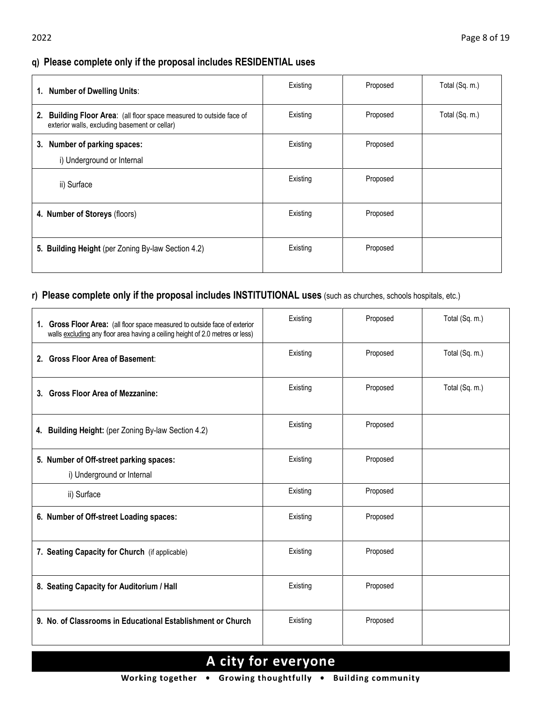## **q) Please complete only if the proposal includes RESIDENTIAL uses**

| 1. Number of Dwelling Units:                                                                                             | Existing | Proposed | Total (Sq. m.) |
|--------------------------------------------------------------------------------------------------------------------------|----------|----------|----------------|
| Building Floor Area: (all floor space measured to outside face of<br>2.<br>exterior walls, excluding basement or cellar) | Existing | Proposed | Total (Sq. m.) |
| 3. Number of parking spaces:<br>i) Underground or Internal                                                               | Existing | Proposed |                |
| ii) Surface                                                                                                              | Existing | Proposed |                |
| 4. Number of Storeys (floors)                                                                                            | Existing | Proposed |                |
| 5. Building Height (per Zoning By-law Section 4.2)                                                                       | Existing | Proposed |                |

## **r) Please complete only if the proposal includes INSTITUTIONAL uses** (such as churches, schools hospitals, etc.)

| 1. Gross Floor Area: (all floor space measured to outside face of exterior<br>walls excluding any floor area having a ceiling height of 2.0 metres or less) | Existing | Proposed | Total (Sq. m.) |
|-------------------------------------------------------------------------------------------------------------------------------------------------------------|----------|----------|----------------|
| 2. Gross Floor Area of Basement:                                                                                                                            | Existing | Proposed | Total (Sq. m.) |
| 3. Gross Floor Area of Mezzanine:                                                                                                                           | Existing | Proposed | Total (Sq. m.) |
| 4. Building Height: (per Zoning By-law Section 4.2)                                                                                                         | Existing | Proposed |                |
| 5. Number of Off-street parking spaces:<br>i) Underground or Internal                                                                                       | Existing | Proposed |                |
| ii) Surface                                                                                                                                                 | Existing | Proposed |                |
| 6. Number of Off-street Loading spaces:                                                                                                                     | Existing | Proposed |                |
| 7. Seating Capacity for Church (if applicable)                                                                                                              | Existing | Proposed |                |
| 8. Seating Capacity for Auditorium / Hall                                                                                                                   | Existing | Proposed |                |
| 9. No. of Classrooms in Educational Establishment or Church                                                                                                 | Existing | Proposed |                |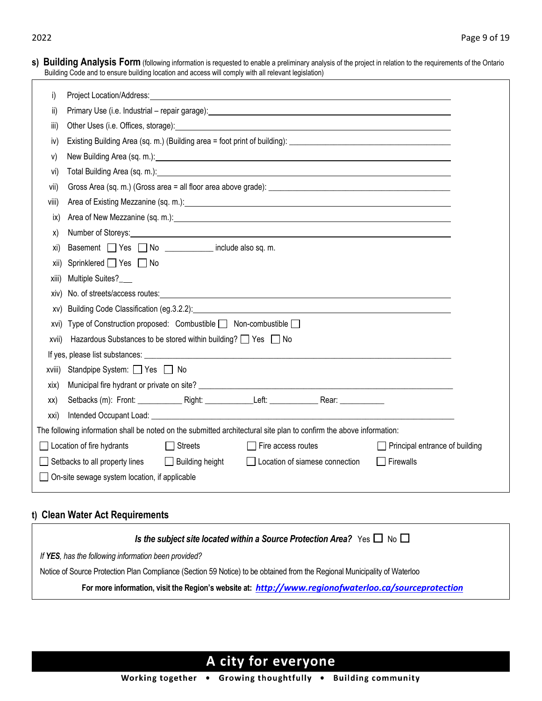| <b>s) Building Analysis Form</b> (following information is requested to enable a preliminary analysis of the project in relation to the requirements of the Ontario<br>Building Code and to ensure building location and access will comply with all relevant legislation) |                                                                                                                                                                                                                                |  |  |  |  |
|----------------------------------------------------------------------------------------------------------------------------------------------------------------------------------------------------------------------------------------------------------------------------|--------------------------------------------------------------------------------------------------------------------------------------------------------------------------------------------------------------------------------|--|--|--|--|
| i)                                                                                                                                                                                                                                                                         | Project Location/Address:<br><u> 1989 - Johann Stoff, deutscher Stoffen und der Stoffen und der Stoffen und der Stoffen und der Stoffen und der</u>                                                                            |  |  |  |  |
| ii)                                                                                                                                                                                                                                                                        |                                                                                                                                                                                                                                |  |  |  |  |
| iii)                                                                                                                                                                                                                                                                       | Other Uses (i.e. Offices, storage): <u>contract and contract and contract and contract and contract and contract and</u>                                                                                                       |  |  |  |  |
| iv)                                                                                                                                                                                                                                                                        |                                                                                                                                                                                                                                |  |  |  |  |
| V)                                                                                                                                                                                                                                                                         |                                                                                                                                                                                                                                |  |  |  |  |
| vi)                                                                                                                                                                                                                                                                        |                                                                                                                                                                                                                                |  |  |  |  |
| vii)                                                                                                                                                                                                                                                                       |                                                                                                                                                                                                                                |  |  |  |  |
| VIII)                                                                                                                                                                                                                                                                      | Area of Existing Mezzanine (sq. m.): example and the contract of the contract of the contract of the contract of the contract of the contract of the contract of the contract of the contract of the contract of the contract  |  |  |  |  |
| ix)                                                                                                                                                                                                                                                                        |                                                                                                                                                                                                                                |  |  |  |  |
| X)                                                                                                                                                                                                                                                                         | Number of Storeys: Number of Storeys: Number of Storeys:                                                                                                                                                                       |  |  |  |  |
| xi)                                                                                                                                                                                                                                                                        | Basement Yes No _________ include also sq. m.                                                                                                                                                                                  |  |  |  |  |
| xii)                                                                                                                                                                                                                                                                       | Sprinklered ■ Yes ■ No                                                                                                                                                                                                         |  |  |  |  |
| xiii)                                                                                                                                                                                                                                                                      | Multiple Suites?                                                                                                                                                                                                               |  |  |  |  |
| XIV)                                                                                                                                                                                                                                                                       | No. of streets/access routes: example and a street of streets/access routes:                                                                                                                                                   |  |  |  |  |
| XV)                                                                                                                                                                                                                                                                        | Building Code Classification (eg.3.2.2): Notified that the state of the state of the state of the state of the state of the state of the state of the state of the state of the state of the state of the state of the state o |  |  |  |  |
| XVI)                                                                                                                                                                                                                                                                       | Type of Construction proposed: Combustible □ Non-combustible □                                                                                                                                                                 |  |  |  |  |
| XVII)                                                                                                                                                                                                                                                                      | Hazardous Substances to be stored within building? $\Box$ Yes $\Box$ No                                                                                                                                                        |  |  |  |  |
|                                                                                                                                                                                                                                                                            |                                                                                                                                                                                                                                |  |  |  |  |
| XVIII)                                                                                                                                                                                                                                                                     | Standpipe System: Stes a No                                                                                                                                                                                                    |  |  |  |  |
| XIX)                                                                                                                                                                                                                                                                       |                                                                                                                                                                                                                                |  |  |  |  |
| XX)                                                                                                                                                                                                                                                                        |                                                                                                                                                                                                                                |  |  |  |  |
| Intended Occupant Load: University of the Contract of the Contract of the Contract of the Contract of the Contract of the Contract of the Contract of the Contract of the Contract of the Contract of the Contract of the Cont<br>xxi)                                     |                                                                                                                                                                                                                                |  |  |  |  |
| The following information shall be noted on the submitted architectural site plan to confirm the above information:                                                                                                                                                        |                                                                                                                                                                                                                                |  |  |  |  |
| Location of fire hydrants<br>Streets<br>$\Box$ Fire access routes<br>$\Box$ Principal entrance of building                                                                                                                                                                 |                                                                                                                                                                                                                                |  |  |  |  |
| Setbacks to all property lines<br>Building height<br>Location of siamese connection<br>$\Box$ Firewalls                                                                                                                                                                    |                                                                                                                                                                                                                                |  |  |  |  |
| On-site sewage system location, if applicable                                                                                                                                                                                                                              |                                                                                                                                                                                                                                |  |  |  |  |

## **t) Clean Water Act Requirements**

|                                                      | Is the subject site located within a Source Protection Area? Yes $\Box$ No $\Box$                                         |
|------------------------------------------------------|---------------------------------------------------------------------------------------------------------------------------|
| If YES, has the following information been provided? |                                                                                                                           |
|                                                      | Notice of Source Protection Plan Compliance (Section 59 Notice) to be obtained from the Regional Municipality of Waterloo |
|                                                      | For more information, visit the Region's website at: http://www.regionofwaterloo.ca/sourceprotection                      |

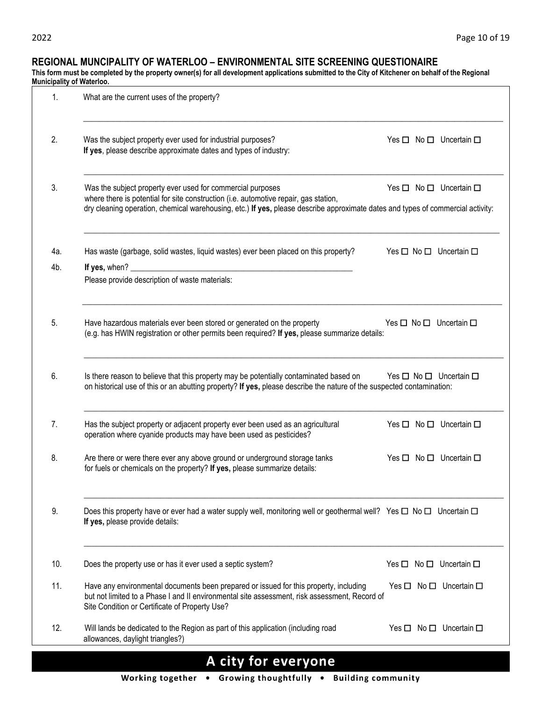#### **REGIONAL MUNCIPALITY OF WATERLOO – ENVIRONMENTAL SITE SCREENING QUESTIONAIRE**

**This form must be completed by the property owner(s) for all development applications submitted to the City of Kitchener on behalf of the Regional Municipality of Waterloo.**

| 1.         | What are the current uses of the property?                                                                                                                                                                                                                                                                                              |
|------------|-----------------------------------------------------------------------------------------------------------------------------------------------------------------------------------------------------------------------------------------------------------------------------------------------------------------------------------------|
| 2.         | Was the subject property ever used for industrial purposes?<br>Yes $\Box$ No $\Box$ Uncertain $\Box$<br>If yes, please describe approximate dates and types of industry:                                                                                                                                                                |
| 3.         | Was the subject property ever used for commercial purposes<br>Yes $\square$ No $\square$ Uncertain $\square$<br>where there is potential for site construction (i.e. automotive repair, gas station,<br>dry cleaning operation, chemical warehousing, etc.) If yes, please describe approximate dates and types of commercial activity: |
| 4a.<br>4b. | Has waste (garbage, solid wastes, liquid wastes) ever been placed on this property?<br>Yes $\square$ No $\square$ Uncertain $\square$<br>If yes, when? $\_$                                                                                                                                                                             |
|            | Please provide description of waste materials:                                                                                                                                                                                                                                                                                          |
| 5.         | Have hazardous materials ever been stored or generated on the property<br>Yes $\Box$ No $\Box$ Uncertain $\Box$<br>(e.g. has HWIN registration or other permits been required? If yes, please summarize details:                                                                                                                        |
| 6.         | Is there reason to believe that this property may be potentially contaminated based on<br>Yes $\square$ No $\square$ Uncertain $\square$<br>on historical use of this or an abutting property? If yes, please describe the nature of the suspected contamination:                                                                       |
| 7.         | Has the subject property or adjacent property ever been used as an agricultural<br>Yes $\square$ No $\square$ Uncertain $\square$<br>operation where cyanide products may have been used as pesticides?                                                                                                                                 |
| 8.         | Are there or were there ever any above ground or underground storage tanks<br>Yes $\Box$ No $\Box$ Uncertain $\Box$<br>for fuels or chemicals on the property? If yes, please summarize details:                                                                                                                                        |
| 9.         | Does this property have or ever had a water supply well, monitoring well or geothermal well? Yes □ No □ Uncertain □<br>If yes, please provide details:                                                                                                                                                                                  |
| 10.        | Does the property use or has it ever used a septic system?<br>Yes $\square$ No $\square$ Uncertain $\square$                                                                                                                                                                                                                            |
| 11.        | Have any environmental documents been prepared or issued for this property, including<br>Yes $\square$ No $\square$ Uncertain $\square$<br>but not limited to a Phase I and II environmental site assessment, risk assessment, Record of<br>Site Condition or Certificate of Property Use?                                              |
| 12.        | Will lands be dedicated to the Region as part of this application (including road<br>Yes $\Box$ No $\Box$ Uncertain $\Box$<br>allowances, daylight triangles?)                                                                                                                                                                          |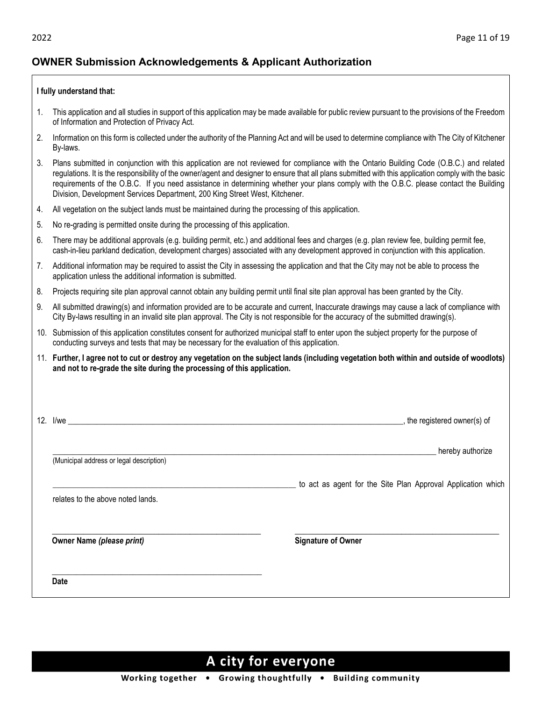# **OWNER Submission Acknowledgements & Applicant Authorization**

#### **I fully understand that:**

- 1. This application and all studies in support of this application may be made available for public review pursuant to the provisions of the Freedom of Information and Protection of Privacy Act.
- 2. Information on this form is collected under the authority of the Planning Act and will be used to determine compliance with The City of Kitchener By-laws.
- 3. Plans submitted in conjunction with this application are not reviewed for compliance with the Ontario Building Code (O.B.C.) and related regulations. It is the responsibility of the owner/agent and designer to ensure that all plans submitted with this application comply with the basic requirements of the O.B.C. If you need assistance in determining whether your plans comply with the O.B.C. please contact the Building Division, Development Services Department, 200 King Street West, Kitchener.
- 4. All vegetation on the subject lands must be maintained during the processing of this application.
- 5. No re-grading is permitted onsite during the processing of this application.
- 6. There may be additional approvals (e.g. building permit, etc.) and additional fees and charges (e.g. plan review fee, building permit fee, cash-in-lieu parkland dedication, development charges) associated with any development approved in conjunction with this application.
- 7. Additional information may be required to assist the City in assessing the application and that the City may not be able to process the application unless the additional information is submitted.
- 8. Projects requiring site plan approval cannot obtain any building permit until final site plan approval has been granted by the City.
- 9. All submitted drawing(s) and information provided are to be accurate and current, Inaccurate drawings may cause a lack of compliance with City By-laws resulting in an invalid site plan approval. The City is not responsible for the accuracy of the submitted drawing(s).
- 10. Submission of this application constitutes consent for authorized municipal staff to enter upon the subject property for the purpose of conducting surveys and tests that may be necessary for the evaluation of this application.
- 11. **Further, I agree not to cut or destroy any vegetation on the subject lands (including vegetation both within and outside of woodlots) and not to re-grade the site during the processing of this application.**

|                                          | _, the registered owner(s) of                                |
|------------------------------------------|--------------------------------------------------------------|
| (Municipal address or legal description) | hereby authorize                                             |
| relates to the above noted lands.        | to act as agent for the Site Plan Approval Application which |
| Owner Name (please print)                | <b>Signature of Owner</b>                                    |
|                                          |                                                              |
| Date                                     |                                                              |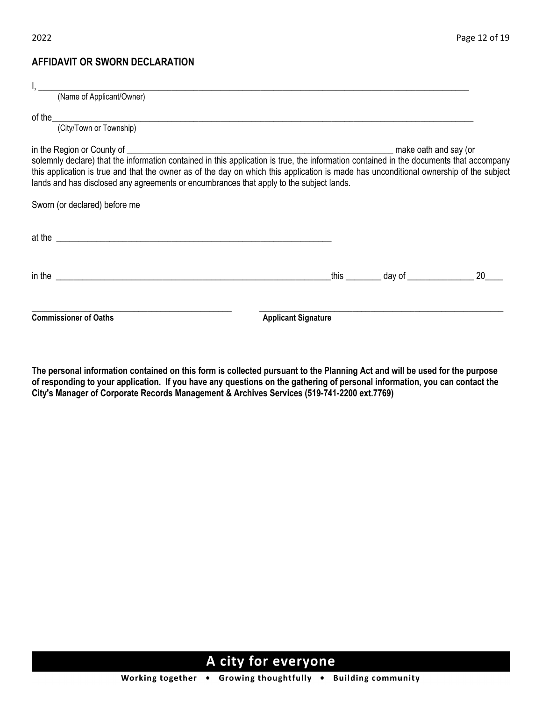## **AFFIDAVIT OR SWORN DECLARATION**

| (Name of Applicant/Owner)                                                                                                                                                                                                            |                            |  |                                                |  |  |
|--------------------------------------------------------------------------------------------------------------------------------------------------------------------------------------------------------------------------------------|----------------------------|--|------------------------------------------------|--|--|
|                                                                                                                                                                                                                                      |                            |  |                                                |  |  |
|                                                                                                                                                                                                                                      |                            |  |                                                |  |  |
| this application is true and that the owner as of the day on which this application is made has unconditional ownership of the subject<br>lands and has disclosed any agreements or encumbrances that apply to the subject lands.    |                            |  |                                                |  |  |
| Sworn (or declared) before me                                                                                                                                                                                                        |                            |  |                                                |  |  |
| at the <u>example and the set of the set of the set of the set of the set of the set of the set of the set of the set of the set of the set of the set of the set of the set of the set of the set of the set of the set of the </u> |                            |  |                                                |  |  |
| in the state of the state of the state of the state of the state of the state of the state of the state of the                                                                                                                       |                            |  | _this __________ day of __________________ 20_ |  |  |
| <b>Commissioner of Oaths</b>                                                                                                                                                                                                         | <b>Applicant Signature</b> |  |                                                |  |  |

**The personal information contained on this form is collected pursuant to the Planning Act and will be used for the purpose of responding to your application. If you have any questions on the gathering of personal information, you can contact the City's Manager of Corporate Records Management & Archives Services (519-741-2200 ext.7769)**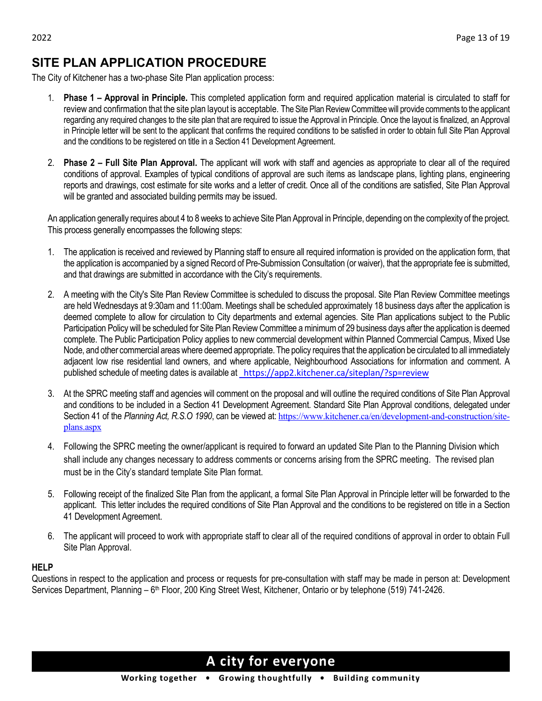# **SITE PLAN APPLICATION PROCEDURE**

The City of Kitchener has a two-phase Site Plan application process:

- 1. **Phase 1 – Approval in Principle.** This completed application form and required application material is circulated to staff for review and confirmation that the site plan layout is acceptable. The Site Plan Review Committee will provide comments to the applicant regarding any required changes to the site plan that are required to issue the Approval in Principle. Once the layout is finalized, an Approval in Principle letter will be sent to the applicant that confirms the required conditions to be satisfied in order to obtain full Site Plan Approval and the conditions to be registered on title in a Section 41 Development Agreement.
- 2. **Phase 2 – Full Site Plan Approval.** The applicant will work with staff and agencies as appropriate to clear all of the required conditions of approval. Examples of typical conditions of approval are such items as landscape plans, lighting plans, engineering reports and drawings, cost estimate for site works and a letter of credit. Once all of the conditions are satisfied, Site Plan Approval will be granted and associated building permits may be issued.

An application generally requires about 4 to 8 weeks to achieve Site Plan Approval in Principle, depending on the complexity of the project. This process generally encompasses the following steps:

- 1. The application is received and reviewed by Planning staff to ensure all required information is provided on the application form, that the application is accompanied by a signed Record of Pre-Submission Consultation (or waiver), that the appropriate fee is submitted, and that drawings are submitted in accordance with the City's requirements.
- 2. A meeting with the City's Site Plan Review Committee is scheduled to discuss the proposal. Site Plan Review Committee meetings are held Wednesdays at 9:30am and 11:00am. Meetings shall be scheduled approximately 18 business days after the application is deemed complete to allow for circulation to City departments and external agencies. Site Plan applications subject to the Public Participation Policy will be scheduled for Site Plan Review Committee a minimum of 29 business days after the application is deemed complete. The Public Participation Policy applies to new commercial development within Planned Commercial Campus, Mixed Use Node, and other commercial areas where deemed appropriate. The policy requires that the application be circulated to all immediately adjacent low rise residential land owners, and where applicable, Neighbourhood Associations for information and comment. A published schedule of meeting dates is available at <https://app2.kitchener.ca/siteplan/?sp=review>
- 3. At the SPRC meeting staff and agencies will comment on the proposal and will outline the required conditions of Site Plan Approval and conditions to be included in a Section 41 Development Agreement. Standard Site Plan Approval conditions, delegated under Section 41 of the *Planning Act, R.S.O 1990*, can be viewed at: [https://www.kitchener.ca/en/development-and-construction/site](https://www.kitchener.ca/en/development-and-construction/site-plans.aspx)[plans.aspx](https://www.kitchener.ca/en/development-and-construction/site-plans.aspx)
- 4. Following the SPRC meeting the owner/applicant is required to forward an updated Site Plan to the Planning Division which shall include any changes necessary to address comments or concerns arising from the SPRC meeting. The revised plan must be in the City's standard template Site Plan format.
- 5. Following receipt of the finalized Site Plan from the applicant, a formal Site Plan Approval in Principle letter will be forwarded to the applicant. This letter includes the required conditions of Site Plan Approval and the conditions to be registered on title in a Section 41 Development Agreement.
- 6. The applicant will proceed to work with appropriate staff to clear all of the required conditions of approval in order to obtain Full Site Plan Approval.

#### **HELP**

Questions in respect to the application and process or requests for pre-consultation with staff may be made in person at: Development Services Department, Planning – 6<sup>th</sup> Floor, 200 King Street West, Kitchener, Ontario or by telephone (519) 741-2426.

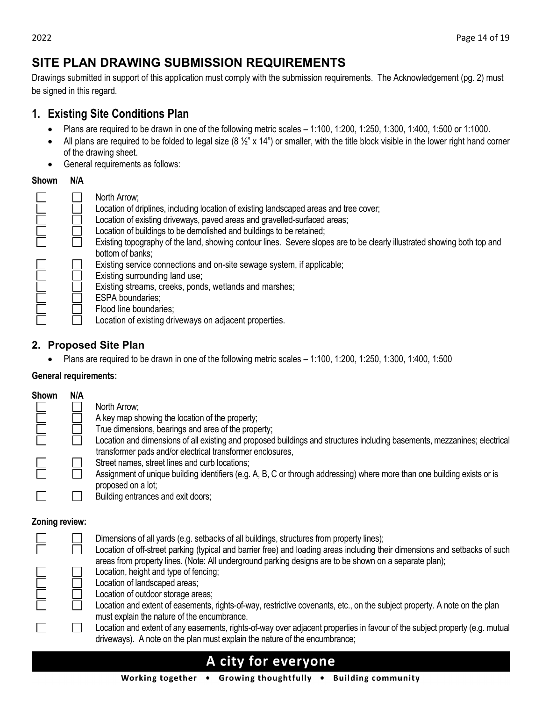# **SITE PLAN DRAWING SUBMISSION REQUIREMENTS**

Drawings submitted in support of this application must comply with the submission requirements. The Acknowledgement (pg. 2) must be signed in this regard.

# **1. Existing Site Conditions Plan**

- Plans are required to be drawn in one of the following metric scales 1:100, 1:200, 1:250, 1:300, 1:400, 1:500 or 1:1000.
- All plans are required to be folded to legal size (8  $\frac{1}{2}$ " x 14") or smaller, with the title block visible in the lower right hand corner of the drawing sheet.
- General requirements as follows:

## **Shown N/A**

| North Arrow;<br>Location of driplines, including location of existing landscaped areas and tree cover;<br>Location of existing driveways, paved areas and gravelled-surfaced areas;<br>Location of buildings to be demolished and buildings to be retained;<br>Existing topography of the land, showing contour lines. Severe slopes are to be clearly illustrated showing both top and |
|-----------------------------------------------------------------------------------------------------------------------------------------------------------------------------------------------------------------------------------------------------------------------------------------------------------------------------------------------------------------------------------------|
| bottom of banks:<br>Existing service connections and on-site sewage system, if applicable;<br>Existing surrounding land use;<br>Existing streams, creeks, ponds, wetlands and marshes;<br><b>ESPA</b> boundaries;<br>Flood line boundaries;<br>Location of existing driveways on adjacent properties.                                                                                   |

# **2. Proposed Site Plan**

• Plans are required to be drawn in one of the following metric scales – 1:100, 1:200, 1:250, 1:300, 1:400, 1:500

## **General requirements:**

| Shown | N/A |                                                                                                                                                                                         |
|-------|-----|-----------------------------------------------------------------------------------------------------------------------------------------------------------------------------------------|
|       |     | North Arrow;                                                                                                                                                                            |
|       |     | A key map showing the location of the property;                                                                                                                                         |
|       |     | True dimensions, bearings and area of the property;                                                                                                                                     |
|       |     | Location and dimensions of all existing and proposed buildings and structures including basements, mezzanines; electrical<br>transformer pads and/or electrical transformer enclosures, |
|       |     | Street names, street lines and curb locations;                                                                                                                                          |
|       |     | Assignment of unique building identifiers (e.g. A, B, C or through addressing) where more than one building exists or is<br>proposed on a lot;                                          |
|       |     | Building entrances and exit doors;                                                                                                                                                      |

#### **Zoning review:**

|  | Dimensions of all yards (e.g. setbacks of all buildings, structures from property lines);<br>Location of off-street parking (typical and barrier free) and loading areas including their dimensions and setbacks of such |
|--|--------------------------------------------------------------------------------------------------------------------------------------------------------------------------------------------------------------------------|
|  | areas from property lines. (Note: All underground parking designs are to be shown on a separate plan);                                                                                                                   |
|  | Location, height and type of fencing;                                                                                                                                                                                    |
|  | Location of landscaped areas;                                                                                                                                                                                            |
|  | Location of outdoor storage areas;                                                                                                                                                                                       |
|  | Location and extent of easements, rights-of-way, restrictive covenants, etc., on the subject property. A note on the plan<br>must explain the nature of the encumbrance.                                                 |
|  | Location and extent of any easements, rights-of-way over adjacent properties in favour of the subject property (e.g. mutual<br>driveways). A note on the plan must explain the nature of the encumbrance;                |
|  | A city for evervone                                                                                                                                                                                                      |

## Working together . Growing thoughtfully . Building community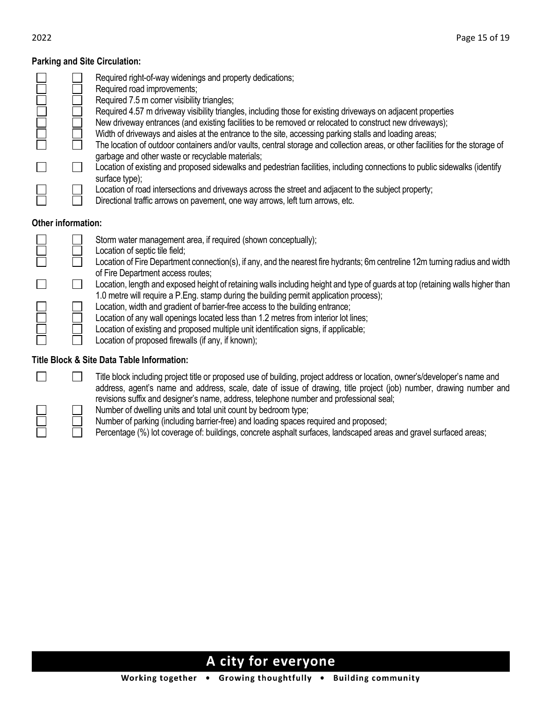#### **Parking and Site Circulation:**

|                    | Required right-of-way widenings and property dedications;<br>Required road improvements;<br>Required 7.5 m corner visibility triangles;<br>Required 4.57 m driveway visibility triangles, including those for existing driveways on adjacent properties<br>New driveway entrances (and existing facilities to be removed or relocated to construct new driveways);<br>Width of driveways and aisles at the entrance to the site, accessing parking stalls and loading areas;<br>The location of outdoor containers and/or vaults, central storage and collection areas, or other facilities for the storage of<br>garbage and other waste or recyclable materials; |
|--------------------|--------------------------------------------------------------------------------------------------------------------------------------------------------------------------------------------------------------------------------------------------------------------------------------------------------------------------------------------------------------------------------------------------------------------------------------------------------------------------------------------------------------------------------------------------------------------------------------------------------------------------------------------------------------------|
|                    | Location of existing and proposed sidewalks and pedestrian facilities, including connections to public sidewalks (identify<br>surface type);<br>Location of road intersections and driveways across the street and adjacent to the subject property;<br>Directional traffic arrows on pavement, one way arrows, left turn arrows, etc.                                                                                                                                                                                                                                                                                                                             |
| Other information: |                                                                                                                                                                                                                                                                                                                                                                                                                                                                                                                                                                                                                                                                    |
|                    | Storm water management area, if required (shown conceptually);<br>Location of septic tile field;<br>Location of Fire Department connection(s), if any, and the nearest fire hydrants; 6m centreline 12m turning radius and width<br>of Fire Department access routes;                                                                                                                                                                                                                                                                                                                                                                                              |
|                    | Location, length and exposed height of retaining walls including height and type of guards at top (retaining walls higher than<br>1.0 metre will require a P.Eng. stamp during the building permit application process);                                                                                                                                                                                                                                                                                                                                                                                                                                           |
|                    | Location, width and gradient of barrier-free access to the building entrance;<br>Location of any wall openings located less than 1.2 metres from interior lot lines;<br>Location of existing and proposed multiple unit identification signs, if applicable;                                                                                                                                                                                                                                                                                                                                                                                                       |

#### **Title Block & Site Data Table Information:**

Title block including project title or proposed use of building, project address or location, owner's/developer's name and address, agent's name and address, scale, date of issue of drawing, title project (job) number, drawing number and revisions suffix and designer's name, address, telephone number and professional seal;

- Number of dwelling units and total unit count by bedroom type;
- Number of parking (including barrier-free) and loading spaces required and proposed;
- Percentage (%) lot coverage of: buildings, concrete asphalt surfaces, landscaped areas and gravel surfaced areas;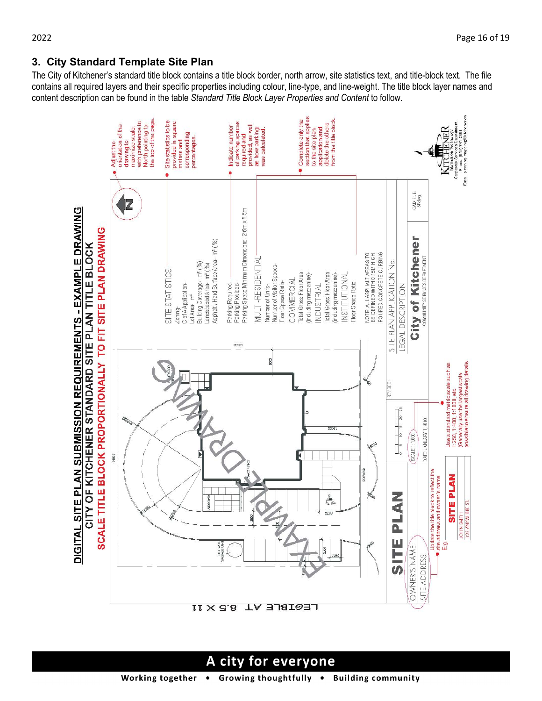The City of Kitchener's standard title block contains a title block border, north arrow, site statistics text, and title-block text. The file contains all required layers and their specific properties including colour, line-type, and line-weight. The title block layer names and content description can be found in the table *Standard Title Block Layer Properties and Content* to follow.

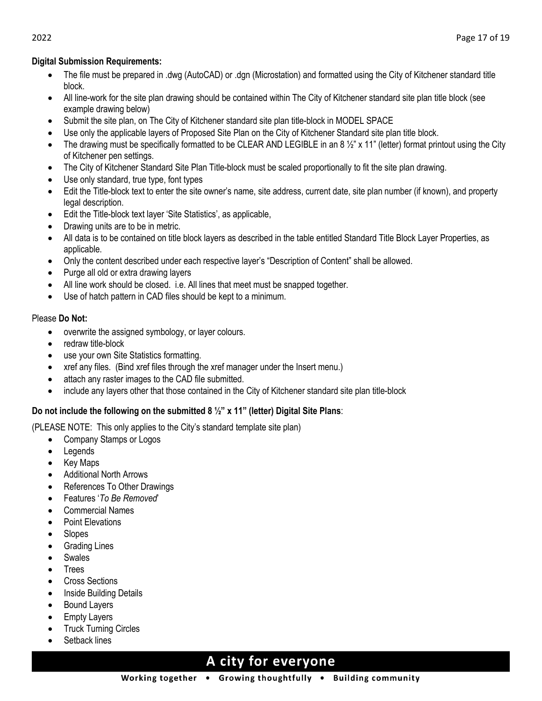#### **Digital Submission Requirements:**

- The file must be prepared in .dwg (AutoCAD) or .dgn (Microstation) and formatted using the City of Kitchener standard title block.
- All line-work for the site plan drawing should be contained within The City of Kitchener standard site plan title block (see example drawing below)
- Submit the site plan, on The City of Kitchener standard site plan title-block in MODEL SPACE
- Use only the applicable layers of Proposed Site Plan on the City of Kitchener Standard site plan title block.
- The drawing must be specifically formatted to be CLEAR AND LEGIBLE in an 8  $\frac{1}{2}$ " x 11" (letter) format printout using the City of Kitchener pen settings.
- The City of Kitchener Standard Site Plan Title-block must be scaled proportionally to fit the site plan drawing.
- Use only standard, true type, font types
- Edit the Title-block text to enter the site owner's name, site address, current date, site plan number (if known), and property legal description.
- Edit the Title-block text layer 'Site Statistics', as applicable,
- Drawing units are to be in metric.
- All data is to be contained on title block layers as described in the table entitled Standard Title Block Layer Properties, as applicable.
- Only the content described under each respective layer's "Description of Content" shall be allowed.
- Purge all old or extra drawing layers
- All line work should be closed. i.e. All lines that meet must be snapped together.
- Use of hatch pattern in CAD files should be kept to a minimum.

#### Please **Do Not:**

- overwrite the assigned symbology, or layer colours.
- redraw title-block
- use your own Site Statistics formatting.
- xref any files. (Bind xref files through the xref manager under the Insert menu.)
- attach any raster images to the CAD file submitted.
- include any layers other that those contained in the City of Kitchener standard site plan title-block

## **Do not include the following on the submitted 8 ½" x 11" (letter) Digital Site Plans**:

(PLEASE NOTE: This only applies to the City's standard template site plan)

- Company Stamps or Logos
- **Legends**
- Key Maps
- Additional North Arrows
- References To Other Drawings
- Features '*To Be Removed*'
- Commercial Names
- Point Elevations
- Slopes
- **Grading Lines**
- **Swales**
- **Trees**
- Cross Sections
- **Inside Building Details**
- Bound Layers
- **Empty Layers**
- **Truck Turning Circles**
- Setback lines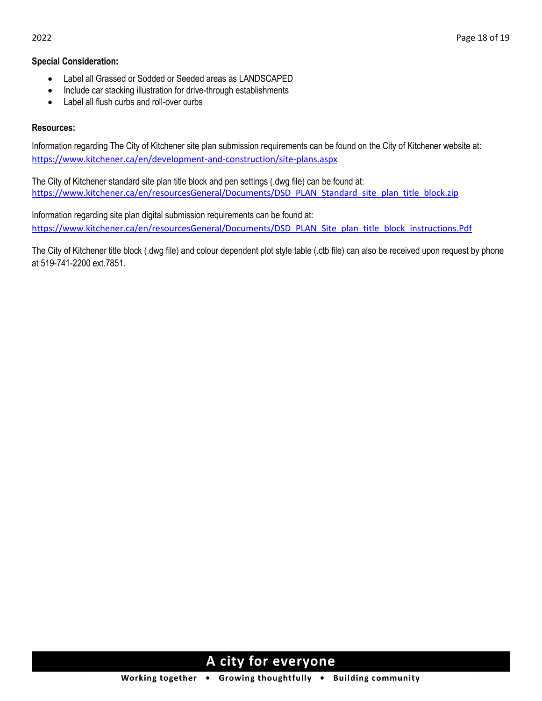#### **Special Consideration:**

- Label all Grassed or Sodded or Seeded areas as LANDSCAPED
- Include car stacking illustration for drive-through establishments
- Label all flush curbs and roll-over curbs

#### **Resources:**

Information regarding The City of Kitchener site plan submission requirements can be found on the City of Kitchener website at: <https://www.kitchener.ca/en/development-and-construction/site-plans.aspx>

The City of Kitchener standard site plan title block and pen settings (.dwg file) can be found at: [https://www.kitchener.ca/en/resourcesGeneral/Documents/DSD\\_PLAN\\_Standard\\_site\\_plan\\_title\\_block.zip](https://www.kitchener.ca/en/resourcesGeneral/Documents/DSD_PLAN_Standard_site_plan_title_block.zip)

Information regarding site plan digital submission requirements can be found at: [https://www.kitchener.ca/en/resourcesGeneral/Documents/DSD\\_PLAN\\_Site\\_plan\\_title\\_block\\_instructions.Pdf](https://www.kitchener.ca/en/resourcesGeneral/Documents/DSD_PLAN_Site_plan_title_block_instructions.Pdf)

The City of Kitchener title block (.dwg file) and colour dependent plot style table (.ctb file) can also be received upon request by phone at 519-741-2200 ext.7851.